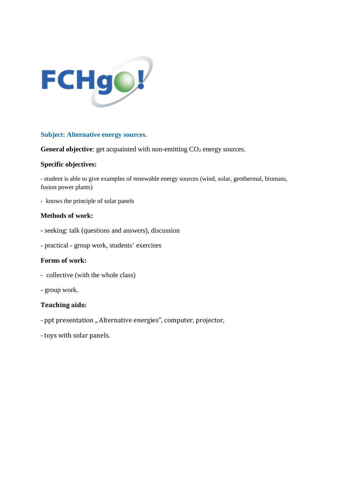

## **Subject: Alternative energy sources.**

**General objective**: get acquainted with non-emitting CO<sub>2</sub> energy sources.

## **Specific objectives:**

- student is able to give examples of renewable energy sources (wind, solar, geothermal, biomass, fusion power plants)

- knows the principle of solar panels

## **Methods of work:**

- seeking: talk (questions and answers), discussion
- practical group work, students' exercises

#### **Forms of work:**

- collective (with the whole class)
- group work.

# **Teaching aids:**

- ppt presentation " Alternative energies", computer, projector,
- toys with solar panels.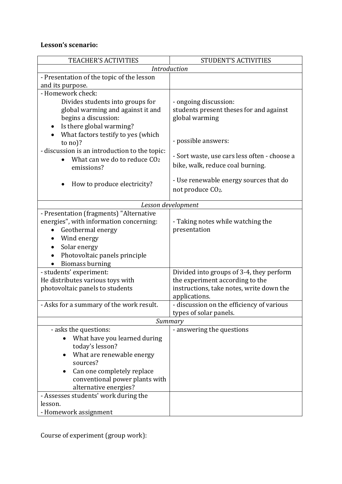# **Lesson's scenario:**

| <b>TEACHER'S ACTIVITIES</b>                                                                                                                                                                                | <b>STUDENT'S ACTIVITIES</b>                                                        |
|------------------------------------------------------------------------------------------------------------------------------------------------------------------------------------------------------------|------------------------------------------------------------------------------------|
| Introduction                                                                                                                                                                                               |                                                                                    |
| - Presentation of the topic of the lesson                                                                                                                                                                  |                                                                                    |
| and its purpose.                                                                                                                                                                                           |                                                                                    |
| - Homework check:<br>Divides students into groups for<br>global warming and against it and<br>begins a discussion:<br>Is there global warming?                                                             | - ongoing discussion:<br>students present theses for and against<br>global warming |
| What factors testify to yes (which<br>to $no$ ?                                                                                                                                                            | - possible answers:                                                                |
| - discussion is an introduction to the topic:<br>What can we do to reduce CO <sub>2</sub><br>emissions?                                                                                                    | - Sort waste, use cars less often - choose a<br>bike, walk, reduce coal burning.   |
| How to produce electricity?                                                                                                                                                                                | - Use renewable energy sources that do<br>not produce CO <sub>2</sub> .            |
| Lesson development                                                                                                                                                                                         |                                                                                    |
| - Presentation (fragments) "Alternative<br>energies", with information concerning:<br>Geothermal energy<br>Wind energy<br>Solar energy<br>Photovoltaic panels principle<br><b>Biomass burning</b>          | - Taking notes while watching the<br>presentation                                  |
| - students' experiment:                                                                                                                                                                                    | Divided into groups of 3-4, they perform                                           |
| He distributes various toys with<br>photovoltaic panels to students                                                                                                                                        | the experiment according to the<br>instructions, take notes, write down the        |
|                                                                                                                                                                                                            | applications.                                                                      |
| - Asks for a summary of the work result.                                                                                                                                                                   | - discussion on the efficiency of various<br>types of solar panels.                |
| Summary                                                                                                                                                                                                    |                                                                                    |
| - asks the questions:<br>What have you learned during<br>today's lesson?<br>What are renewable energy<br>sources?<br>Can one completely replace<br>conventional power plants with<br>alternative energies? | - answering the questions                                                          |
| - Assesses students' work during the<br>lesson.<br>- Homework assignment                                                                                                                                   |                                                                                    |

Course of experiment (group work):